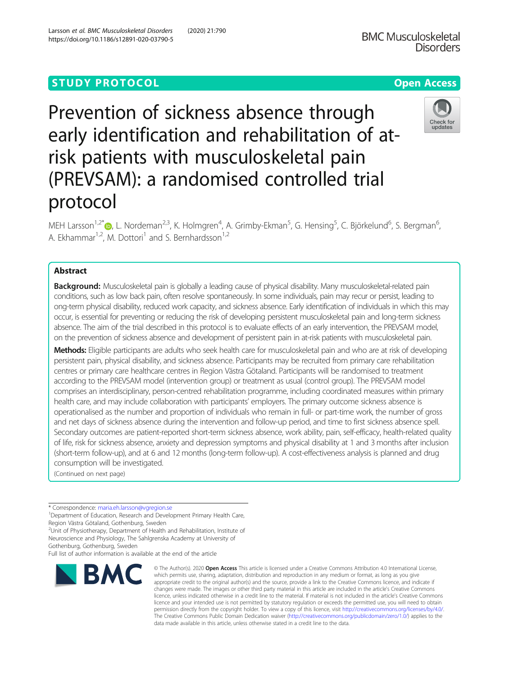# **STUDY PROTOCOL CONSUMING THE RESERVE ACCESS**

Prevention of sickness absence through early identification and rehabilitation of atrisk patients with musculoskeletal pain (PREVSAM): a randomised controlled trial protocol

MEH Larsson<sup>1,2[\\*](http://orcid.org/0000-0002-1225-9736)</sup>®, L. Nordeman<sup>2,3</sup>, K. Holmgren<sup>4</sup>, A. Grimby-Ekman<sup>5</sup>, G. Hensing<sup>5</sup>, C. Björkelund<sup>6</sup>, S. Bergman<sup>6</sup> י<br>, A. Ekhammar<sup>1,2</sup>, M. Dottori<sup>1</sup> and S. Bernhardsson<sup>1,2</sup>

## Abstract

Background: Musculoskeletal pain is globally a leading cause of physical disability. Many musculoskeletal-related pain conditions, such as low back pain, often resolve spontaneously. In some individuals, pain may recur or persist, leading to ong-term physical disability, reduced work capacity, and sickness absence. Early identification of individuals in which this may occur, is essential for preventing or reducing the risk of developing persistent musculoskeletal pain and long-term sickness absence. The aim of the trial described in this protocol is to evaluate effects of an early intervention, the PREVSAM model, on the prevention of sickness absence and development of persistent pain in at-risk patients with musculoskeletal pain.

Methods: Eligible participants are adults who seek health care for musculoskeletal pain and who are at risk of developing persistent pain, physical disability, and sickness absence. Participants may be recruited from primary care rehabilitation centres or primary care healthcare centres in Region Västra Götaland. Participants will be randomised to treatment according to the PREVSAM model (intervention group) or treatment as usual (control group). The PREVSAM model comprises an interdisciplinary, person-centred rehabilitation programme, including coordinated measures within primary health care, and may include collaboration with participants' employers. The primary outcome sickness absence is operationalised as the number and proportion of individuals who remain in full- or part-time work, the number of gross and net days of sickness absence during the intervention and follow-up period, and time to first sickness absence spell. Secondary outcomes are patient-reported short-term sickness absence, work ability, pain, self-efficacy, health-related quality of life, risk for sickness absence, anxiety and depression symptoms and physical disability at 1 and 3 months after inclusion (short-term follow-up), and at 6 and 12 months (long-term follow-up). A cost-effectiveness analysis is planned and drug consumption will be investigated.

(Continued on next page)

Gothenburg, Gothenburg, Sweden

Full list of author information is available at the end of the article



<sup>©</sup> The Author(s), 2020 **Open Access** This article is licensed under a Creative Commons Attribution 4.0 International License, which permits use, sharing, adaptation, distribution and reproduction in any medium or format, as long as you give appropriate credit to the original author(s) and the source, provide a link to the Creative Commons licence, and indicate if changes were made. The images or other third party material in this article are included in the article's Creative Commons licence, unless indicated otherwise in a credit line to the material. If material is not included in the article's Creative Commons licence and your intended use is not permitted by statutory regulation or exceeds the permitted use, you will need to obtain permission directly from the copyright holder. To view a copy of this licence, visit [http://creativecommons.org/licenses/by/4.0/.](http://creativecommons.org/licenses/by/4.0/) The Creative Commons Public Domain Dedication waiver [\(http://creativecommons.org/publicdomain/zero/1.0/](http://creativecommons.org/publicdomain/zero/1.0/)) applies to the data made available in this article, unless otherwise stated in a credit line to the data.



undates

<sup>\*</sup> Correspondence: [maria.eh.larsson@vgregion.se](mailto:maria.eh.larsson@vgregion.se) <sup>1</sup>

<sup>&</sup>lt;sup>1</sup>Department of Education, Research and Development Primary Health Care, Region Västra Götaland, Gothenburg, Sweden

<sup>&</sup>lt;sup>2</sup>Unit of Physiotherapy, Department of Health and Rehabilitation, Institute of Neuroscience and Physiology, The Sahlgrenska Academy at University of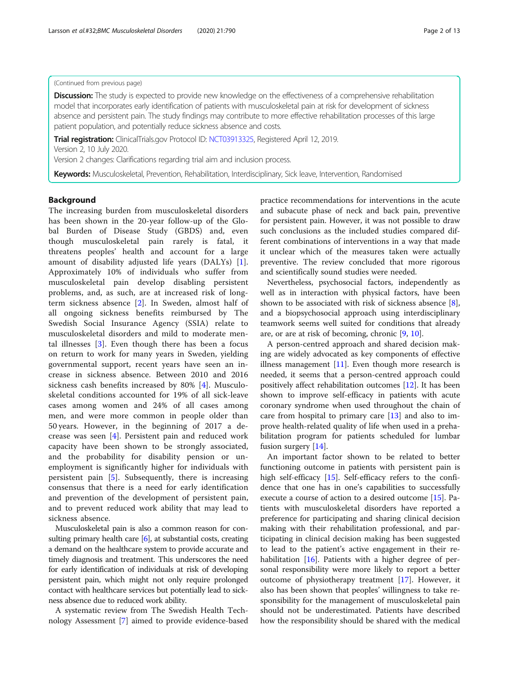## (Continued from previous page)

**Discussion:** The study is expected to provide new knowledge on the effectiveness of a comprehensive rehabilitation model that incorporates early identification of patients with musculoskeletal pain at risk for development of sickness absence and persistent pain. The study findings may contribute to more effective rehabilitation processes of this large patient population, and potentially reduce sickness absence and costs.

Trial registration: ClinicalTrials.gov Protocol ID: [NCT03913325,](https://clinicaltrials.gov/ct2/show/NCT03913325) Registered April 12, 2019. Version 2, 10 July 2020.

Version 2 changes: Clarifications regarding trial aim and inclusion process.

Keywords: Musculoskeletal, Prevention, Rehabilitation, Interdisciplinary, Sick leave, Intervention, Randomised

## Background

The increasing burden from musculoskeletal disorders has been shown in the 20-year follow-up of the Global Burden of Disease Study (GBDS) and, even though musculoskeletal pain rarely is fatal, it threatens peoples' health and account for a large amount of disability adjusted life years (DALYs) [\[1](#page-11-0)]. Approximately 10% of individuals who suffer from musculoskeletal pain develop disabling persistent problems, and, as such, are at increased risk of longterm sickness absence [[2\]](#page-11-0). In Sweden, almost half of all ongoing sickness benefits reimbursed by The Swedish Social Insurance Agency (SSIA) relate to musculoskeletal disorders and mild to moderate mental illnesses [\[3](#page-11-0)]. Even though there has been a focus on return to work for many years in Sweden, yielding governmental support, recent years have seen an increase in sickness absence. Between 2010 and 2016 sickness cash benefits increased by 80% [[4\]](#page-11-0). Musculoskeletal conditions accounted for 19% of all sick-leave cases among women and 24% of all cases among men, and were more common in people older than 50 years. However, in the beginning of 2017 a decrease was seen [\[4](#page-11-0)]. Persistent pain and reduced work capacity have been shown to be strongly associated, and the probability for disability pension or unemployment is significantly higher for individuals with persistent pain [[5\]](#page-11-0). Subsequently, there is increasing consensus that there is a need for early identification and prevention of the development of persistent pain, and to prevent reduced work ability that may lead to sickness absence.

Musculoskeletal pain is also a common reason for consulting primary health care [\[6\]](#page-11-0), at substantial costs, creating a demand on the healthcare system to provide accurate and timely diagnosis and treatment. This underscores the need for early identification of individuals at risk of developing persistent pain, which might not only require prolonged contact with healthcare services but potentially lead to sickness absence due to reduced work ability.

A systematic review from The Swedish Health Technology Assessment [\[7](#page-11-0)] aimed to provide evidence-based practice recommendations for interventions in the acute and subacute phase of neck and back pain, preventive for persistent pain. However, it was not possible to draw such conclusions as the included studies compared different combinations of interventions in a way that made it unclear which of the measures taken were actually preventive. The review concluded that more rigorous and scientifically sound studies were needed.

Nevertheless, psychosocial factors, independently as well as in interaction with physical factors, have been shown to be associated with risk of sickness absence [\[8](#page-11-0)], and a biopsychosocial approach using interdisciplinary teamwork seems well suited for conditions that already are, or are at risk of becoming, chronic [[9,](#page-11-0) [10\]](#page-11-0).

A person-centred approach and shared decision making are widely advocated as key components of effective illness management  $[11]$  $[11]$ . Even though more research is needed, it seems that a person-centred approach could positively affect rehabilitation outcomes [[12\]](#page-11-0). It has been shown to improve self-efficacy in patients with acute coronary syndrome when used throughout the chain of care from hospital to primary care [[13\]](#page-11-0) and also to improve health-related quality of life when used in a prehabilitation program for patients scheduled for lumbar fusion surgery [[14\]](#page-11-0).

An important factor shown to be related to better functioning outcome in patients with persistent pain is high self-efficacy [[15\]](#page-11-0). Self-efficacy refers to the confidence that one has in one's capabilities to successfully execute a course of action to a desired outcome [[15\]](#page-11-0). Patients with musculoskeletal disorders have reported a preference for participating and sharing clinical decision making with their rehabilitation professional, and participating in clinical decision making has been suggested to lead to the patient's active engagement in their rehabilitation [[16\]](#page-11-0). Patients with a higher degree of personal responsibility were more likely to report a better outcome of physiotherapy treatment [[17\]](#page-11-0). However, it also has been shown that peoples' willingness to take responsibility for the management of musculoskeletal pain should not be underestimated. Patients have described how the responsibility should be shared with the medical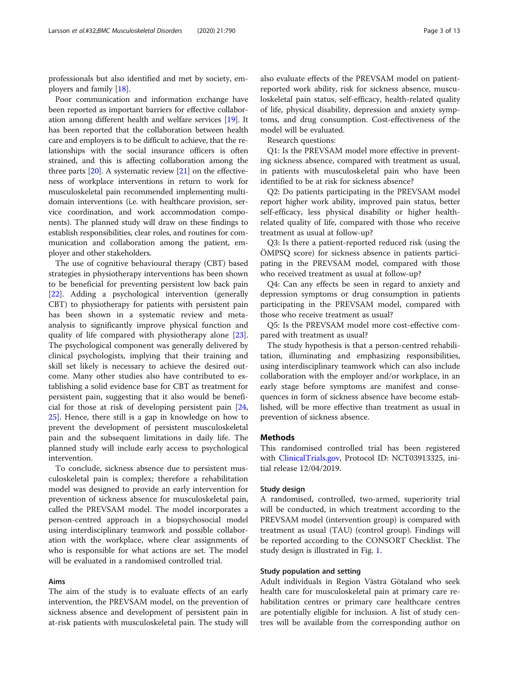professionals but also identified and met by society, employers and family [[18\]](#page-11-0).

Poor communication and information exchange have been reported as important barriers for effective collaboration among different health and welfare services [[19](#page-11-0)]. It has been reported that the collaboration between health care and employers is to be difficult to achieve, that the relationships with the social insurance officers is often strained, and this is affecting collaboration among the three parts  $[20]$ . A systematic review  $[21]$  $[21]$  $[21]$  on the effectiveness of workplace interventions in return to work for musculoskeletal pain recommended implementing multidomain interventions (i.e. with healthcare provision, service coordination, and work accommodation components). The planned study will draw on these findings to establish responsibilities, clear roles, and routines for communication and collaboration among the patient, employer and other stakeholders.

The use of cognitive behavioural therapy (CBT) based strategies in physiotherapy interventions has been shown to be beneficial for preventing persistent low back pain [[22\]](#page-12-0). Adding a psychological intervention (generally CBT) to physiotherapy for patients with persistent pain has been shown in a systematic review and metaanalysis to significantly improve physical function and quality of life compared with physiotherapy alone [\[23](#page-12-0)]. The psychological component was generally delivered by clinical psychologists, implying that their training and skill set likely is necessary to achieve the desired outcome. Many other studies also have contributed to establishing a solid evidence base for CBT as treatment for persistent pain, suggesting that it also would be beneficial for those at risk of developing persistent pain [[24](#page-12-0), [25\]](#page-12-0). Hence, there still is a gap in knowledge on how to prevent the development of persistent musculoskeletal pain and the subsequent limitations in daily life. The planned study will include early access to psychological intervention.

To conclude, sickness absence due to persistent musculoskeletal pain is complex; therefore a rehabilitation model was designed to provide an early intervention for prevention of sickness absence for musculoskeletal pain, called the PREVSAM model. The model incorporates a person-centred approach in a biopsychosocial model using interdisciplinary teamwork and possible collaboration with the workplace, where clear assignments of who is responsible for what actions are set. The model will be evaluated in a randomised controlled trial.

## Aims

The aim of the study is to evaluate effects of an early intervention, the PREVSAM model, on the prevention of sickness absence and development of persistent pain in at-risk patients with musculoskeletal pain. The study will also evaluate effects of the PREVSAM model on patientreported work ability, risk for sickness absence, musculoskeletal pain status, self-efficacy, health-related quality of life, physical disability, depression and anxiety symptoms, and drug consumption. Cost-effectiveness of the model will be evaluated.

Research questions:

Q1: Is the PREVSAM model more effective in preventing sickness absence, compared with treatment as usual, in patients with musculoskeletal pain who have been identified to be at risk for sickness absence?

Q2: Do patients participating in the PREVSAM model report higher work ability, improved pain status, better self-efficacy, less physical disability or higher healthrelated quality of life, compared with those who receive treatment as usual at follow-up?

Q3: Is there a patient-reported reduced risk (using the ÖMPSQ score) for sickness absence in patients participating in the PREVSAM model, compared with those who received treatment as usual at follow-up?

Q4: Can any effects be seen in regard to anxiety and depression symptoms or drug consumption in patients participating in the PREVSAM model, compared with those who receive treatment as usual?

Q5: Is the PREVSAM model more cost-effective compared with treatment as usual?

The study hypothesis is that a person-centred rehabilitation, illuminating and emphasizing responsibilities, using interdisciplinary teamwork which can also include collaboration with the employer and/or workplace, in an early stage before symptoms are manifest and consequences in form of sickness absence have become established, will be more effective than treatment as usual in prevention of sickness absence.

## **Methods**

This randomised controlled trial has been registered with [ClinicalTrials.gov,](http://clinicaltrials.gov) Protocol ID: NCT03913325, initial release 12/04/2019.

#### Study design

A randomised, controlled, two-armed, superiority trial will be conducted, in which treatment according to the PREVSAM model (intervention group) is compared with treatment as usual (TAU) (control group). Findings will be reported according to the CONSORT Checklist. The study design is illustrated in Fig. [1.](#page-3-0)

## Study population and setting

Adult individuals in Region Västra Götaland who seek health care for musculoskeletal pain at primary care rehabilitation centres or primary care healthcare centres are potentially eligible for inclusion. A list of study centres will be available from the corresponding author on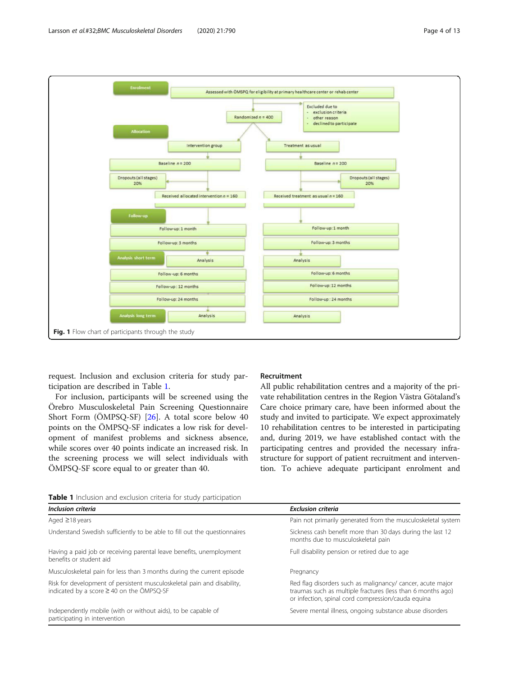<span id="page-3-0"></span>

request. Inclusion and exclusion criteria for study participation are described in Table 1.

For inclusion, participants will be screened using the Örebro Musculoskeletal Pain Screening Questionnaire Short Form (ÖMPSQ-SF) [[26](#page-12-0)]. A total score below 40 points on the ÖMPSQ-SF indicates a low risk for development of manifest problems and sickness absence, while scores over 40 points indicate an increased risk. In the screening process we will select individuals with ÖMPSQ-SF score equal to or greater than 40.

#### Recruitment

All public rehabilitation centres and a majority of the private rehabilitation centres in the Region Västra Götaland's Care choice primary care, have been informed about the study and invited to participate. We expect approximately 10 rehabilitation centres to be interested in participating and, during 2019, we have established contact with the participating centres and provided the necessary infrastructure for support of patient recruitment and intervention. To achieve adequate participant enrolment and

Table 1 Inclusion and exclusion criteria for study participation

| Inclusion criteria                                                                                                        | <b>Exclusion criteria</b>                                                                                                                                                       |  |  |  |
|---------------------------------------------------------------------------------------------------------------------------|---------------------------------------------------------------------------------------------------------------------------------------------------------------------------------|--|--|--|
| Aged $\geq$ 18 years                                                                                                      | Pain not primarily generated from the musculoskeletal system                                                                                                                    |  |  |  |
| Understand Swedish sufficiently to be able to fill out the questionnaires                                                 | Sickness cash benefit more than 30 days during the last 12<br>months due to musculoskeletal pain                                                                                |  |  |  |
| Having a paid job or receiving parental leave benefits, unemployment<br>benefits or student aid                           | Full disability pension or retired due to age                                                                                                                                   |  |  |  |
| Musculoskeletal pain for less than 3 months during the current episode                                                    | Pregnancy                                                                                                                                                                       |  |  |  |
| Risk for development of persistent musculoskeletal pain and disability,<br>indicated by a score $\geq$ 40 on the ÖMPSQ-SF | Red flag disorders such as malignancy/ cancer, acute major<br>traumas such as multiple fractures (less than 6 months ago)<br>or infection, spinal cord compression/cauda equina |  |  |  |
| Independently mobile (with or without aids), to be capable of<br>participating in intervention                            | Severe mental illness, ongoing substance abuse disorders                                                                                                                        |  |  |  |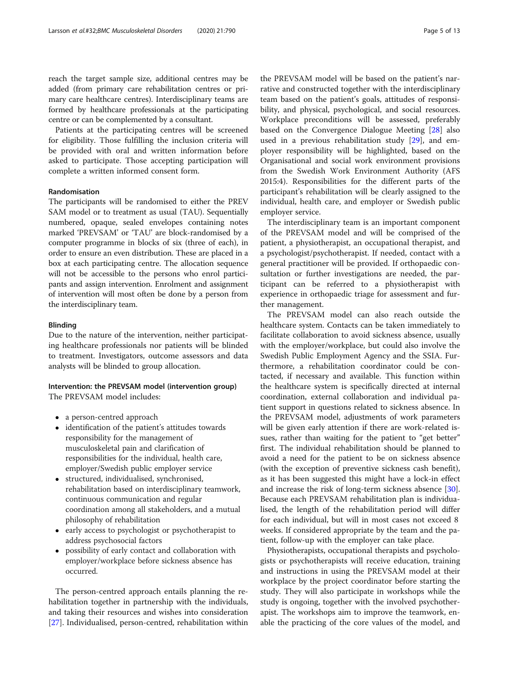reach the target sample size, additional centres may be added (from primary care rehabilitation centres or primary care healthcare centres). Interdisciplinary teams are formed by healthcare professionals at the participating centre or can be complemented by a consultant.

Patients at the participating centres will be screened for eligibility. Those fulfilling the inclusion criteria will be provided with oral and written information before asked to participate. Those accepting participation will complete a written informed consent form.

## Randomisation

The participants will be randomised to either the PREV SAM model or to treatment as usual (TAU). Sequentially numbered, opaque, sealed envelopes containing notes marked 'PREVSAM' or 'TAU' are block-randomised by a computer programme in blocks of six (three of each), in order to ensure an even distribution. These are placed in a box at each participating centre. The allocation sequence will not be accessible to the persons who enrol participants and assign intervention. Enrolment and assignment of intervention will most often be done by a person from the interdisciplinary team.

## Blinding

Due to the nature of the intervention, neither participating healthcare professionals nor patients will be blinded to treatment. Investigators, outcome assessors and data analysts will be blinded to group allocation.

## Intervention: the PREVSAM model (intervention group) The PREVSAM model includes:

- a person-centred approach
- identification of the patient's attitudes towards responsibility for the management of musculoskeletal pain and clarification of responsibilities for the individual, health care, employer/Swedish public employer service
- structured, individualised, synchronised, rehabilitation based on interdisciplinary teamwork, continuous communication and regular coordination among all stakeholders, and a mutual philosophy of rehabilitation
- early access to psychologist or psychotherapist to address psychosocial factors
- possibility of early contact and collaboration with employer/workplace before sickness absence has occurred.

The person-centred approach entails planning the rehabilitation together in partnership with the individuals, and taking their resources and wishes into consideration [[27\]](#page-12-0). Individualised, person-centred, rehabilitation within the PREVSAM model will be based on the patient's narrative and constructed together with the interdisciplinary team based on the patient's goals, attitudes of responsibility, and physical, psychological, and social resources. Workplace preconditions will be assessed, preferably based on the Convergence Dialogue Meeting [\[28\]](#page-12-0) also used in a previous rehabilitation study  $[29]$  $[29]$  $[29]$ , and employer responsibility will be highlighted, based on the Organisational and social work environment provisions from the Swedish Work Environment Authority (AFS 2015:4). Responsibilities for the different parts of the participant's rehabilitation will be clearly assigned to the individual, health care, and employer or Swedish public employer service.

The interdisciplinary team is an important component of the PREVSAM model and will be comprised of the patient, a physiotherapist, an occupational therapist, and a psychologist/psychotherapist. If needed, contact with a general practitioner will be provided. If orthopaedic consultation or further investigations are needed, the participant can be referred to a physiotherapist with experience in orthopaedic triage for assessment and further management.

The PREVSAM model can also reach outside the healthcare system. Contacts can be taken immediately to facilitate collaboration to avoid sickness absence, usually with the employer/workplace, but could also involve the Swedish Public Employment Agency and the SSIA. Furthermore, a rehabilitation coordinator could be contacted, if necessary and available. This function within the healthcare system is specifically directed at internal coordination, external collaboration and individual patient support in questions related to sickness absence. In the PREVSAM model, adjustments of work parameters will be given early attention if there are work-related issues, rather than waiting for the patient to "get better" first. The individual rehabilitation should be planned to avoid a need for the patient to be on sickness absence (with the exception of preventive sickness cash benefit), as it has been suggested this might have a lock-in effect and increase the risk of long-term sickness absence [\[30](#page-12-0)]. Because each PREVSAM rehabilitation plan is individualised, the length of the rehabilitation period will differ for each individual, but will in most cases not exceed 8 weeks. If considered appropriate by the team and the patient, follow-up with the employer can take place.

Physiotherapists, occupational therapists and psychologists or psychotherapists will receive education, training and instructions in using the PREVSAM model at their workplace by the project coordinator before starting the study. They will also participate in workshops while the study is ongoing, together with the involved psychotherapist. The workshops aim to improve the teamwork, enable the practicing of the core values of the model, and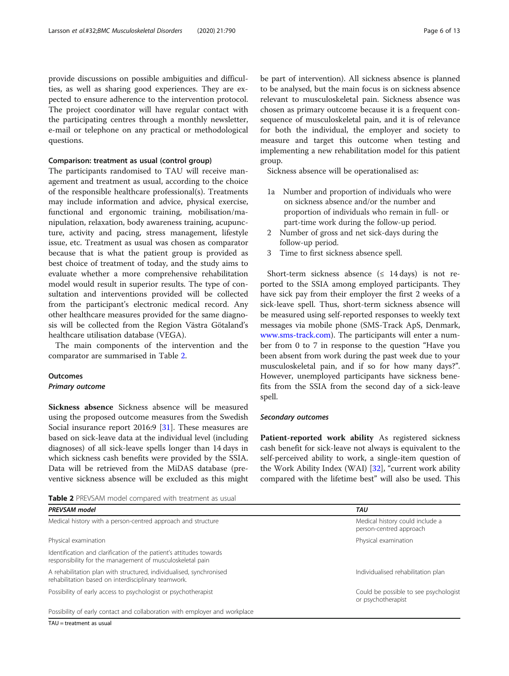provide discussions on possible ambiguities and difficulties, as well as sharing good experiences. They are expected to ensure adherence to the intervention protocol. The project coordinator will have regular contact with the participating centres through a monthly newsletter, e-mail or telephone on any practical or methodological questions.

## Comparison: treatment as usual (control group)

The participants randomised to TAU will receive management and treatment as usual, according to the choice of the responsible healthcare professional(s). Treatments may include information and advice, physical exercise, functional and ergonomic training, mobilisation/manipulation, relaxation, body awareness training, acupuncture, activity and pacing, stress management, lifestyle issue, etc. Treatment as usual was chosen as comparator because that is what the patient group is provided as best choice of treatment of today, and the study aims to evaluate whether a more comprehensive rehabilitation model would result in superior results. The type of consultation and interventions provided will be collected from the participant's electronic medical record. Any other healthcare measures provided for the same diagnosis will be collected from the Region Västra Götaland's healthcare utilisation database (VEGA).

The main components of the intervention and the comparator are summarised in Table 2.

## **Outcomes**

## Primary outcome

Sickness absence Sickness absence will be measured using the proposed outcome measures from the Swedish Social insurance report 2016:9 [[31\]](#page-12-0). These measures are based on sick-leave data at the individual level (including diagnoses) of all sick-leave spells longer than 14 days in which sickness cash benefits were provided by the SSIA. Data will be retrieved from the MiDAS database (preventive sickness absence will be excluded as this might be part of intervention). All sickness absence is planned to be analysed, but the main focus is on sickness absence relevant to musculoskeletal pain. Sickness absence was chosen as primary outcome because it is a frequent consequence of musculoskeletal pain, and it is of relevance for both the individual, the employer and society to measure and target this outcome when testing and implementing a new rehabilitation model for this patient group.

Sickness absence will be operationalised as:

- 1a Number and proportion of individuals who were on sickness absence and/or the number and proportion of individuals who remain in full- or part-time work during the follow-up period.
- 2 Number of gross and net sick-days during the follow-up period.
- 3 Time to first sickness absence spell.

Short-term sickness absence  $(≤ 14 \text{ days})$  is not reported to the SSIA among employed participants. They have sick pay from their employer the first 2 weeks of a sick-leave spell. Thus, short-term sickness absence will be measured using self-reported responses to weekly text messages via mobile phone (SMS-Track ApS, Denmark, [www.sms-track.com](http://www.sms-track.com)). The participants will enter a number from 0 to 7 in response to the question "Have you been absent from work during the past week due to your musculoskeletal pain, and if so for how many days?". However, unemployed participants have sickness benefits from the SSIA from the second day of a sick-leave spell.

#### Secondary outcomes

Patient-reported work ability As registered sickness cash benefit for sick-leave not always is equivalent to the self-perceived ability to work, a single-item question of the Work Ability Index (WAI) [[32\]](#page-12-0), "current work ability compared with the lifetime best" will also be used. This

Table 2 PREVSAM model compared with treatment as usual

| <b>PREVSAM</b> model                                                                                                             | <b>TAU</b>                                                  |
|----------------------------------------------------------------------------------------------------------------------------------|-------------------------------------------------------------|
| Medical history with a person-centred approach and structure                                                                     | Medical history could include a<br>person-centred approach  |
| Physical examination                                                                                                             | Physical examination                                        |
| Identification and clarification of the patient's attitudes towards<br>responsibility for the management of musculoskeletal pain |                                                             |
| A rehabilitation plan with structured, individualised, synchronised<br>rehabilitation based on interdisciplinary teamwork.       | Individualised rehabilitation plan                          |
| Possibility of early access to psychologist or psychotherapist                                                                   | Could be possible to see psychologist<br>or psychotherapist |
| Possibility of early contact and collaboration with employer and workplace                                                       |                                                             |

 $TAU = treatment$  as usual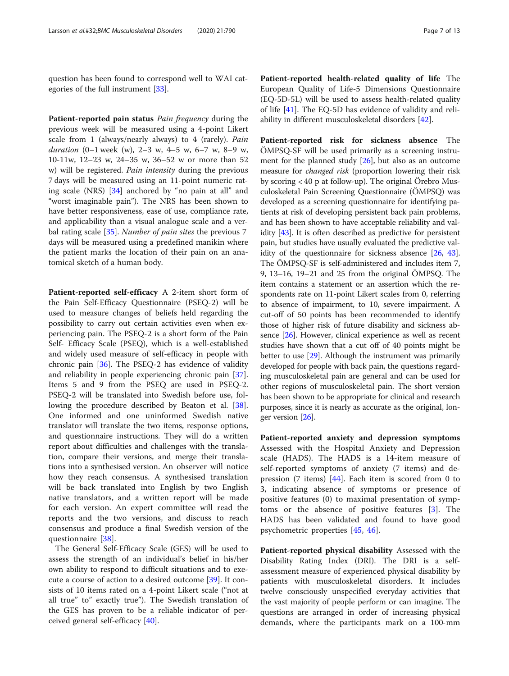question has been found to correspond well to WAI categories of the full instrument [\[33](#page-12-0)].

Patient-reported pain status *Pain frequency* during the previous week will be measured using a 4-point Likert scale from 1 (always/nearly always) to 4 (rarely). Pain duration (0–1 week (w), 2–3 w, 4–5 w, 6–7 w, 8–9 w, 10-11w, 12–23 w, 24–35 w, 36–52 w or more than 52 w) will be registered. Pain intensity during the previous 7 days will be measured using an 11-point numeric rating scale (NRS) [[34](#page-12-0)] anchored by "no pain at all" and "worst imaginable pain"). The NRS has been shown to have better responsiveness, ease of use, compliance rate, and applicability than a visual analogue scale and a verbal rating scale [\[35](#page-12-0)]. Number of pain sites the previous 7 days will be measured using a predefined manikin where the patient marks the location of their pain on an anatomical sketch of a human body.

Patient-reported self-efficacy A 2-item short form of the Pain Self-Efficacy Questionnaire (PSEQ-2) will be used to measure changes of beliefs held regarding the possibility to carry out certain activities even when experiencing pain. The PSEQ-2 is a short form of the Pain Self- Efficacy Scale (PSEQ), which is a well-established and widely used measure of self-efficacy in people with chronic pain [\[36](#page-12-0)]. The PSEQ-2 has evidence of validity and reliability in people experiencing chronic pain [\[37](#page-12-0)]. Items 5 and 9 from the PSEQ are used in PSEQ-2. PSEQ-2 will be translated into Swedish before use, following the procedure described by Beaton et al. [\[38](#page-12-0)]. One informed and one uninformed Swedish native translator will translate the two items, response options, and questionnaire instructions. They will do a written report about difficulties and challenges with the translation, compare their versions, and merge their translations into a synthesised version. An observer will notice how they reach consensus. A synthesised translation will be back translated into English by two English native translators, and a written report will be made for each version. An expert committee will read the reports and the two versions, and discuss to reach consensus and produce a final Swedish version of the questionnaire [\[38](#page-12-0)].

The General Self-Efficacy Scale (GES) will be used to assess the strength of an individual's belief in his/her own ability to respond to difficult situations and to execute a course of action to a desired outcome [[39\]](#page-12-0). It consists of 10 items rated on a 4-point Likert scale ("not at all true" to" exactly true"). The Swedish translation of the GES has proven to be a reliable indicator of perceived general self-efficacy [\[40\]](#page-12-0).

Patient-reported health-related quality of life The European Quality of Life-5 Dimensions Questionnaire (EQ-5D-5L) will be used to assess health-related quality of life [[41\]](#page-12-0). The EQ-5D has evidence of validity and reliability in different musculoskeletal disorders [\[42\]](#page-12-0).

Patient-reported risk for sickness absence The ÖMPSQ-SF will be used primarily as a screening instrument for the planned study [\[26\]](#page-12-0), but also as an outcome measure for changed risk (proportion lowering their risk by scoring < 40 p at follow-up). The original Örebro Musculoskeletal Pain Screening Questionnaire (ÖMPSQ) was developed as a screening questionnaire for identifying patients at risk of developing persistent back pain problems, and has been shown to have acceptable reliability and validity [[43](#page-12-0)]. It is often described as predictive for persistent pain, but studies have usually evaluated the predictive validity of the questionnaire for sickness absence [\[26](#page-12-0), [43](#page-12-0)]. The ÖMPSQ-SF is self-administered and includes item 7, 9, 13–16, 19–21 and 25 from the original ÖMPSQ. The item contains a statement or an assertion which the respondents rate on 11-point Likert scales from 0, referring to absence of impairment, to 10, severe impairment. A cut-off of 50 points has been recommended to identify those of higher risk of future disability and sickness absence [\[26\]](#page-12-0). However, clinical experience as well as recent studies have shown that a cut off of 40 points might be better to use [\[29\]](#page-12-0). Although the instrument was primarily developed for people with back pain, the questions regarding musculoskeletal pain are general and can be used for other regions of musculoskeletal pain. The short version has been shown to be appropriate for clinical and research purposes, since it is nearly as accurate as the original, longer version [\[26](#page-12-0)].

Patient-reported anxiety and depression symptoms Assessed with the Hospital Anxiety and Depression scale (HADS). The HADS is a 14-item measure of self-reported symptoms of anxiety (7 items) and depression (7 items)  $[44]$  $[44]$ . Each item is scored from 0 to 3, indicating absence of symptoms or presence of positive features (0) to maximal presentation of symptoms or the absence of positive features [[3\]](#page-11-0). The HADS has been validated and found to have good psychometric properties [[45,](#page-12-0) [46\]](#page-12-0).

Patient-reported physical disability Assessed with the Disability Rating Index (DRI). The DRI is a selfassessment measure of experienced physical disability by patients with musculoskeletal disorders. It includes twelve consciously unspecified everyday activities that the vast majority of people perform or can imagine. The questions are arranged in order of increasing physical demands, where the participants mark on a 100-mm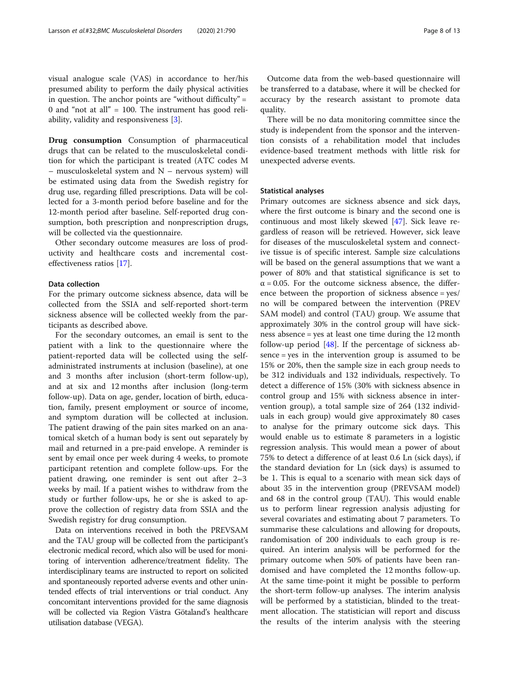visual analogue scale (VAS) in accordance to her/his presumed ability to perform the daily physical activities in question. The anchor points are "without difficulty" = 0 and "not at all" = 100. The instrument has good reliability, validity and responsiveness [\[3](#page-11-0)].

Drug consumption Consumption of pharmaceutical drugs that can be related to the musculoskeletal condition for which the participant is treated (ATC codes M – musculoskeletal system and N – nervous system) will be estimated using data from the Swedish registry for drug use, regarding filled prescriptions. Data will be collected for a 3-month period before baseline and for the 12-month period after baseline. Self-reported drug consumption, both prescription and nonprescription drugs, will be collected via the questionnaire.

Other secondary outcome measures are loss of productivity and healthcare costs and incremental costeffectiveness ratios [\[17](#page-11-0)].

#### Data collection

For the primary outcome sickness absence, data will be collected from the SSIA and self-reported short-term sickness absence will be collected weekly from the participants as described above.

For the secondary outcomes, an email is sent to the patient with a link to the questionnaire where the patient-reported data will be collected using the selfadministrated instruments at inclusion (baseline), at one and 3 months after inclusion (short-term follow-up), and at six and 12 months after inclusion (long-term follow-up). Data on age, gender, location of birth, education, family, present employment or source of income, and symptom duration will be collected at inclusion. The patient drawing of the pain sites marked on an anatomical sketch of a human body is sent out separately by mail and returned in a pre-paid envelope. A reminder is sent by email once per week during 4 weeks, to promote participant retention and complete follow-ups. For the patient drawing, one reminder is sent out after 2–3 weeks by mail. If a patient wishes to withdraw from the study or further follow-ups, he or she is asked to approve the collection of registry data from SSIA and the Swedish registry for drug consumption.

Data on interventions received in both the PREVSAM and the TAU group will be collected from the participant's electronic medical record, which also will be used for monitoring of intervention adherence/treatment fidelity. The interdisciplinary teams are instructed to report on solicited and spontaneously reported adverse events and other unintended effects of trial interventions or trial conduct. Any concomitant interventions provided for the same diagnosis will be collected via Region Västra Götaland's healthcare utilisation database (VEGA).

Outcome data from the web-based questionnaire will be transferred to a database, where it will be checked for accuracy by the research assistant to promote data quality.

There will be no data monitoring committee since the study is independent from the sponsor and the intervention consists of a rehabilitation model that includes evidence-based treatment methods with little risk for unexpected adverse events.

## Statistical analyses

Primary outcomes are sickness absence and sick days, where the first outcome is binary and the second one is continuous and most likely skewed [[47](#page-12-0)]. Sick leave regardless of reason will be retrieved. However, sick leave for diseases of the musculoskeletal system and connective tissue is of specific interest. Sample size calculations will be based on the general assumptions that we want a power of 80% and that statistical significance is set to  $\alpha$  = 0.05. For the outcome sickness absence, the difference between the proportion of sickness absence = yes/ no will be compared between the intervention (PREV SAM model) and control (TAU) group. We assume that approximately 30% in the control group will have sickness absence = yes at least one time during the 12 month follow-up period [\[48](#page-12-0)]. If the percentage of sickness absence = yes in the intervention group is assumed to be 15% or 20%, then the sample size in each group needs to be 312 individuals and 132 individuals, respectively. To detect a difference of 15% (30% with sickness absence in control group and 15% with sickness absence in intervention group), a total sample size of 264 (132 individuals in each group) would give approximately 80 cases to analyse for the primary outcome sick days. This would enable us to estimate 8 parameters in a logistic regression analysis. This would mean a power of about 75% to detect a difference of at least 0.6 Ln (sick days), if the standard deviation for Ln (sick days) is assumed to be 1. This is equal to a scenario with mean sick days of about 35 in the intervention group (PREVSAM model) and 68 in the control group (TAU). This would enable us to perform linear regression analysis adjusting for several covariates and estimating about 7 parameters. To summarise these calculations and allowing for dropouts, randomisation of 200 individuals to each group is required. An interim analysis will be performed for the primary outcome when 50% of patients have been randomised and have completed the 12 months follow-up. At the same time-point it might be possible to perform the short-term follow-up analyses. The interim analysis will be performed by a statistician, blinded to the treatment allocation. The statistician will report and discuss the results of the interim analysis with the steering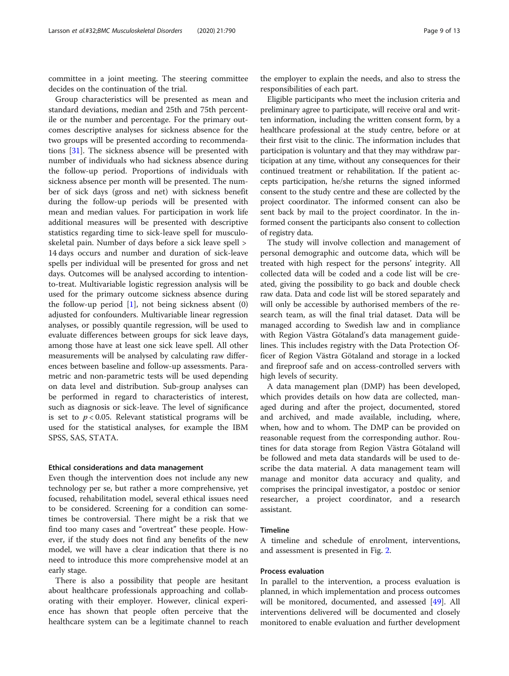committee in a joint meeting. The steering committee decides on the continuation of the trial.

Group characteristics will be presented as mean and standard deviations, median and 25th and 75th percentile or the number and percentage. For the primary outcomes descriptive analyses for sickness absence for the two groups will be presented according to recommendations [[31\]](#page-12-0). The sickness absence will be presented with number of individuals who had sickness absence during the follow-up period. Proportions of individuals with sickness absence per month will be presented. The number of sick days (gross and net) with sickness benefit during the follow-up periods will be presented with mean and median values. For participation in work life additional measures will be presented with descriptive statistics regarding time to sick-leave spell for musculoskeletal pain. Number of days before a sick leave spell > 14 days occurs and number and duration of sick-leave spells per individual will be presented for gross and net days. Outcomes will be analysed according to intentionto-treat. Multivariable logistic regression analysis will be used for the primary outcome sickness absence during the follow-up period  $[1]$  $[1]$ , not being sickness absent  $(0)$ adjusted for confounders. Multivariable linear regression analyses, or possibly quantile regression, will be used to evaluate differences between groups for sick leave days, among those have at least one sick leave spell. All other measurements will be analysed by calculating raw differences between baseline and follow-up assessments. Parametric and non-parametric tests will be used depending on data level and distribution. Sub-group analyses can be performed in regard to characteristics of interest, such as diagnosis or sick-leave. The level of significance is set to  $p < 0.05$ . Relevant statistical programs will be used for the statistical analyses, for example the IBM SPSS, SAS, STATA.

#### Ethical considerations and data management

Even though the intervention does not include any new technology per se, but rather a more comprehensive, yet focused, rehabilitation model, several ethical issues need to be considered. Screening for a condition can sometimes be controversial. There might be a risk that we find too many cases and "overtreat" these people. However, if the study does not find any benefits of the new model, we will have a clear indication that there is no need to introduce this more comprehensive model at an early stage.

There is also a possibility that people are hesitant about healthcare professionals approaching and collaborating with their employer. However, clinical experience has shown that people often perceive that the healthcare system can be a legitimate channel to reach

the employer to explain the needs, and also to stress the responsibilities of each part.

Eligible participants who meet the inclusion criteria and preliminary agree to participate, will receive oral and written information, including the written consent form, by a healthcare professional at the study centre, before or at their first visit to the clinic. The information includes that participation is voluntary and that they may withdraw participation at any time, without any consequences for their continued treatment or rehabilitation. If the patient accepts participation, he/she returns the signed informed consent to the study centre and these are collected by the project coordinator. The informed consent can also be sent back by mail to the project coordinator. In the informed consent the participants also consent to collection of registry data.

The study will involve collection and management of personal demographic and outcome data, which will be treated with high respect for the persons' integrity. All collected data will be coded and a code list will be created, giving the possibility to go back and double check raw data. Data and code list will be stored separately and will only be accessible by authorised members of the research team, as will the final trial dataset. Data will be managed according to Swedish law and in compliance with Region Västra Götaland's data management guidelines. This includes registry with the Data Protection Officer of Region Västra Götaland and storage in a locked and fireproof safe and on access-controlled servers with high levels of security.

A data management plan (DMP) has been developed, which provides details on how data are collected, managed during and after the project, documented, stored and archived, and made available, including, where, when, how and to whom. The DMP can be provided on reasonable request from the corresponding author. Routines for data storage from Region Västra Götaland will be followed and meta data standards will be used to describe the data material. A data management team will manage and monitor data accuracy and quality, and comprises the principal investigator, a postdoc or senior researcher, a project coordinator, and a research assistant.

#### Timeline

A timeline and schedule of enrolment, interventions, and assessment is presented in Fig. [2.](#page-9-0)

## Process evaluation

In parallel to the intervention, a process evaluation is planned, in which implementation and process outcomes will be monitored, documented, and assessed [[49](#page-12-0)]. All interventions delivered will be documented and closely monitored to enable evaluation and further development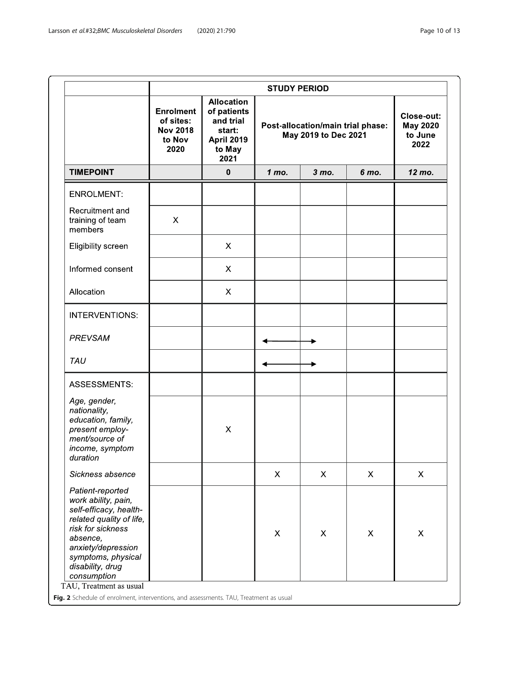<span id="page-9-0"></span>

|                                                                                                                                                                                                                                          | <b>STUDY PERIOD</b>                                                |                                                                                                |                                                           |                |       |                                                  |  |  |  |
|------------------------------------------------------------------------------------------------------------------------------------------------------------------------------------------------------------------------------------------|--------------------------------------------------------------------|------------------------------------------------------------------------------------------------|-----------------------------------------------------------|----------------|-------|--------------------------------------------------|--|--|--|
|                                                                                                                                                                                                                                          | <b>Enrolment</b><br>of sites:<br><b>Nov 2018</b><br>to Nov<br>2020 | <b>Allocation</b><br>of patients<br>and trial<br>start:<br><b>April 2019</b><br>to May<br>2021 | Post-allocation/main trial phase:<br>May 2019 to Dec 2021 |                |       | Close-out:<br><b>May 2020</b><br>to June<br>2022 |  |  |  |
| <b>TIMEPOINT</b>                                                                                                                                                                                                                         |                                                                    | $\mathbf 0$                                                                                    | $1$ mo.                                                   | $3$ mo.        | 6 mo. | 12 mo.                                           |  |  |  |
| ENROLMENT:                                                                                                                                                                                                                               |                                                                    |                                                                                                |                                                           |                |       |                                                  |  |  |  |
| Recruitment and<br>training of team<br>members                                                                                                                                                                                           | X                                                                  |                                                                                                |                                                           |                |       |                                                  |  |  |  |
| Eligibility screen                                                                                                                                                                                                                       |                                                                    | X                                                                                              |                                                           |                |       |                                                  |  |  |  |
| Informed consent                                                                                                                                                                                                                         |                                                                    | X                                                                                              |                                                           |                |       |                                                  |  |  |  |
| Allocation                                                                                                                                                                                                                               |                                                                    | X                                                                                              |                                                           |                |       |                                                  |  |  |  |
| INTERVENTIONS:                                                                                                                                                                                                                           |                                                                    |                                                                                                |                                                           |                |       |                                                  |  |  |  |
| PREVSAM                                                                                                                                                                                                                                  |                                                                    |                                                                                                |                                                           |                |       |                                                  |  |  |  |
| <b>TAU</b>                                                                                                                                                                                                                               |                                                                    |                                                                                                |                                                           |                |       |                                                  |  |  |  |
| ASSESSMENTS:                                                                                                                                                                                                                             |                                                                    |                                                                                                |                                                           |                |       |                                                  |  |  |  |
| Age, gender,<br>nationality,<br>education, family,<br>present employ-<br>ment/source of<br>income, symptom<br>duration                                                                                                                   |                                                                    | $\pmb{\times}$                                                                                 |                                                           |                |       |                                                  |  |  |  |
| Sickness absence                                                                                                                                                                                                                         |                                                                    |                                                                                                | X                                                         | X              | X     | X                                                |  |  |  |
| Patient-reported<br>work ability, pain,<br>self-efficacy, health-<br>related quality of life,<br>risk for sickness<br>absence,<br>anxiety/depression<br>symptoms, physical<br>disability, drug<br>consumption<br>TAU, Treatment as usual |                                                                    |                                                                                                | $\pmb{\times}$                                            | $\pmb{\times}$ | X     | X                                                |  |  |  |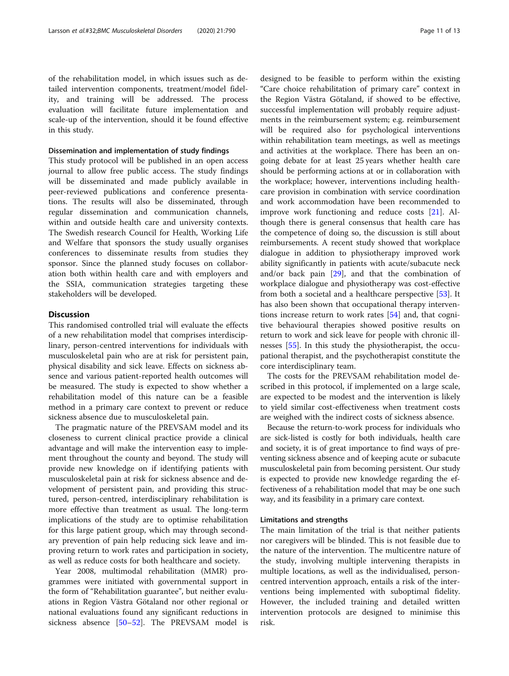of the rehabilitation model, in which issues such as detailed intervention components, treatment/model fidelity, and training will be addressed. The process evaluation will facilitate future implementation and scale-up of the intervention, should it be found effective in this study.

#### Dissemination and implementation of study findings

This study protocol will be published in an open access journal to allow free public access. The study findings will be disseminated and made publicly available in peer-reviewed publications and conference presentations. The results will also be disseminated, through regular dissemination and communication channels, within and outside health care and university contexts. The Swedish research Council for Health, Working Life and Welfare that sponsors the study usually organises conferences to disseminate results from studies they sponsor. Since the planned study focuses on collaboration both within health care and with employers and the SSIA, communication strategies targeting these stakeholders will be developed.

## Discussion

This randomised controlled trial will evaluate the effects of a new rehabilitation model that comprises interdisciplinary, person-centred interventions for individuals with musculoskeletal pain who are at risk for persistent pain, physical disability and sick leave. Effects on sickness absence and various patient-reported health outcomes will be measured. The study is expected to show whether a rehabilitation model of this nature can be a feasible method in a primary care context to prevent or reduce sickness absence due to musculoskeletal pain.

The pragmatic nature of the PREVSAM model and its closeness to current clinical practice provide a clinical advantage and will make the intervention easy to implement throughout the county and beyond. The study will provide new knowledge on if identifying patients with musculoskeletal pain at risk for sickness absence and development of persistent pain, and providing this structured, person-centred, interdisciplinary rehabilitation is more effective than treatment as usual. The long-term implications of the study are to optimise rehabilitation for this large patient group, which may through secondary prevention of pain help reducing sick leave and improving return to work rates and participation in society, as well as reduce costs for both healthcare and society.

Year 2008, multimodal rehabilitation (MMR) programmes were initiated with governmental support in the form of "Rehabilitation guarantee", but neither evaluations in Region Västra Götaland nor other regional or national evaluations found any significant reductions in sickness absence [[50](#page-12-0)–[52](#page-12-0)]. The PREVSAM model is designed to be feasible to perform within the existing "Care choice rehabilitation of primary care" context in the Region Västra Götaland, if showed to be effective, successful implementation will probably require adjustments in the reimbursement system; e.g. reimbursement will be required also for psychological interventions within rehabilitation team meetings, as well as meetings and activities at the workplace. There has been an ongoing debate for at least 25 years whether health care should be performing actions at or in collaboration with the workplace; however, interventions including healthcare provision in combination with service coordination and work accommodation have been recommended to improve work functioning and reduce costs [[21\]](#page-11-0). Although there is general consensus that health care has the competence of doing so, the discussion is still about reimbursements. A recent study showed that workplace dialogue in addition to physiotherapy improved work ability significantly in patients with acute/subacute neck and/or back pain  $[29]$  $[29]$ , and that the combination of workplace dialogue and physiotherapy was cost-effective from both a societal and a healthcare perspective [[53\]](#page-12-0). It has also been shown that occupational therapy interventions increase return to work rates [\[54\]](#page-12-0) and, that cognitive behavioural therapies showed positive results on return to work and sick leave for people with chronic illnesses [\[55](#page-12-0)]. In this study the physiotherapist, the occupational therapist, and the psychotherapist constitute the core interdisciplinary team.

The costs for the PREVSAM rehabilitation model described in this protocol, if implemented on a large scale, are expected to be modest and the intervention is likely to yield similar cost-effectiveness when treatment costs are weighed with the indirect costs of sickness absence.

Because the return-to-work process for individuals who are sick-listed is costly for both individuals, health care and society, it is of great importance to find ways of preventing sickness absence and of keeping acute or subacute musculoskeletal pain from becoming persistent. Our study is expected to provide new knowledge regarding the effectiveness of a rehabilitation model that may be one such way, and its feasibility in a primary care context.

#### Limitations and strengths

The main limitation of the trial is that neither patients nor caregivers will be blinded. This is not feasible due to the nature of the intervention. The multicentre nature of the study, involving multiple intervening therapists in multiple locations, as well as the individualised, personcentred intervention approach, entails a risk of the interventions being implemented with suboptimal fidelity. However, the included training and detailed written intervention protocols are designed to minimise this risk.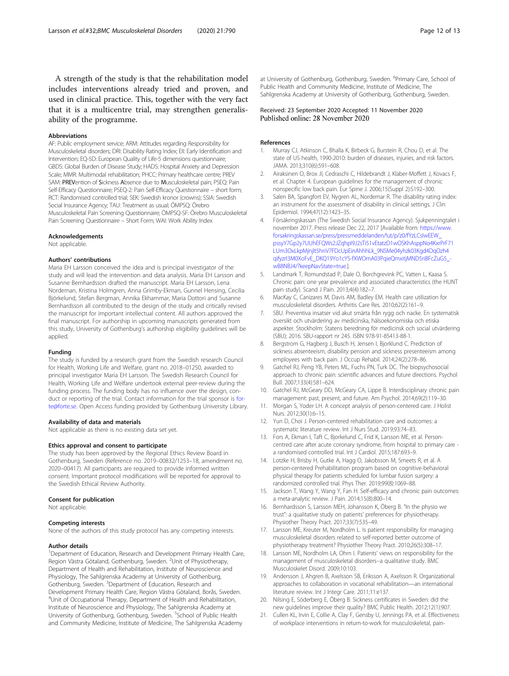<span id="page-11-0"></span>A strength of the study is that the rehabilitation model includes interventions already tried and proven, and used in clinical practice. This, together with the very fact that it is a multicentre trial, may strengthen generalisability of the programme.

#### Abbreviations

AF: Public employment service; ARM: Attitudes regarding Responsibility for Musculoskeletal disorders; DRI: Disability Rating Index; EII: Early Identification and Intervention; EQ-5D: European Quality of Life-5 dimensions questionnaire; GBDS: Global Burden of Disease Study; HADS: Hospital Anxiety and Depression Scale; MMR: Multimodal rehabilitation; PHCC: Primary healthcare centre; PREV SAM: PREVention of Sickness Absence due to Musculoskeletal pain; PSEQ: Pain Self-Efficacy Questionnaire; PSEQ-2: Pain Self-Efficacy Questionnaire – short form; RCT: Randomised controlled trial; SEK: Swedish kronor (crowns); SSIA: Swedish Social Insurance Agency; TAU: Treatment as usual; ÖMPSQ: Örebro Musculoskeletal Pain Screening Questionnaire; ÖMPSQ-SF: Örebro Musculoskeletal Pain Screening Questionnaire – Short Form; WAI: Work Ability Index

#### Acknowledgements

Not applicable.

## Authors' contributions

Maria EH Larsson conceived the idea and is principal investigator of the study and will lead the intervention and data analysis. Maria EH Larsson and Susanne Bernhardsson drafted the manuscript. Maria EH Larsson, Lena Nordeman, Kristina Holmgren, Anna Grimby-Ekman, Gunnel Hensing, Cecilia Björkelund, Stefan Bergman, Annika Ekhammar, Maria Dottori and Susanne Bernhardsson all contributed to the design of the study and critically revised the manuscript for important intellectual content. All authors approved the final manuscript. For authorship in upcoming manuscripts generated from this study, University of Gothenburg's authorship eligibility guidelines will be applied.

#### Funding

The study is funded by a research grant from the Swedish research Council for Health, Working Life and Welfare, grant no. 2018–01250, awarded to principal investigator Maria EH Larsson. The Swedish Research Council for Health, Working Life and Welfare undertook external peer-review during the funding process. The funding body has no influence over the design, conduct or reporting of the trial. Contact information for the trial sponsor is [for](mailto:forte@forte.se)[te@forte.se](mailto:forte@forte.se). Open Access funding provided by Gothenburg University Library.

#### Availability of data and materials

Not applicable as there is no existing data set yet.

#### Ethics approval and consent to participate

The study has been approved by the Regional Ethics Review Board in Gothenburg, Sweden (Reference no. 2019–00832/1253–18, amendment no. 2020–00417). All participants are required to provide informed written consent. Important protocol modifications will be reported for approval to the Swedish Ethical Review Authority.

#### Consent for publication

Not applicable.

#### Competing interests

None of the authors of this study protocol has any competing interests.

#### Author details

<sup>1</sup>Department of Education, Research and Development Primary Health Care, Region Västra Götaland, Gothenburg, Sweden. <sup>2</sup>Unit of Physiotherapy, Department of Health and Rehabilitation, Institute of Neuroscience and Physiology, The Sahlgrenska Academy at University of Gothenburg, Gothenburg, Sweden. <sup>3</sup>Department of Education, Research and Development Primary Health Care, Region Västra Götaland, Borås, Sweden. 4 Unit of Occupational Therapy, Department of Health and Rehabilitation, Institute of Neuroscience and Physiology, The Sahlgrenska Academy at University of Gothenburg, Gothenburg, Sweden. <sup>5</sup>School of Public Health and Community Medicine, Institute of Medicine, The Sahlgrenska Academy

at University of Gothenburg, Gothenburg, Sweden. <sup>6</sup>Primary Care, School of Public Health and Community Medicine, Institute of Medicine, The Sahlgrenska Academy at University of Gothenburg, Gothenburg, Sweden.

Received: 23 September 2020 Accepted: 11 November 2020<br>Published online: 28 November 2020

#### References

- 1. Murray CJ, Atkinson C, Bhalla K, Birbeck G, Burstein R, Chou D, et al. The state of US health, 1990-2010: burden of diseases, injuries, and risk factors. JAMA. 2013;310(6):591–608.
- 2. Airaksinen O, Brox JI, Cedraschi C, Hildebrandt J, Klaber-Moffett J, Kovacs F, et al. Chapter 4. European guidelines for the management of chronic nonspecific low back pain. Eur Spine J. 2006;15(Suppl 2):S192–300.
- 3. Salen BA, Spangfort EV, Nygren AL, Nordemar R. The disability rating index: an instrument for the assessment of disability in clinical settings. J Clin Epidemiol. 1994;47(12):1423–35.
- 4. Försäkringskassan (The Swedish Social Insurance Agency). Sjukpenningtalet i november 2017. Press release Dec 22, 2017 [Available from: https://www. forsakringskassan.se/press/pressmeddelanden/!ut/p/z0/fYzLCsIwEEW\_ pssyY7Gp2y7UUhEFQWs2JZqhpI9J2sTi51vEtatzD1wOSKhAsppNo4KxrPrF71 LUm3OxLkpMjnjIt5hnV7FDcUpEinAhhhLk\_9NSMe04yhzk03Kgd4DqOzh4 qifyzrI3M0XoFvE\_DKQ19Yo1cYS-fXWOmA03PqieQmxitjMND5riBFcZuG5\_ wB8NBJ4/?keepNavState=true.].
- 5. Landmark T, Romundstad P, Dale O, Borchgrevink PC, Vatten L, Kaasa S. Chronic pain: one year prevalence and associated characteristics (the HUNT pain study). Scand J Pain. 2013;4(4):182–7.
- 6. MacKay C, Canizares M, Davis AM, Badley EM. Health care utilization for musculoskeletal disorders. Arthritis Care Res. 2010;62(2):161–9.
- 7. SBU. Preventiva insatser vid akut smärta från rygg och nacke. En systematisk översikt och utvärdering av medicinska, hälsoekonomiska och etiska aspekter. Stockholm: Statens beredning för medicinsk och social utvärdering (SBU); 2016. SBU-rapport nr 245. ISBN 978-91-85413-88-1.
- 8. Bergstrom G, Hagberg J, Busch H, Jensen I, Bjorklund C. Prediction of sickness absenteeism, disability pension and sickness presenteeism among employees with back pain. J Occup Rehabil. 2014;24(2):278–86.
- 9. Gatchel RJ, Peng YB, Peters ML, Fuchs PN, Turk DC. The biopsychosocial approach to chronic pain: scientific advances and future directions. Psychol Bull. 2007;133(4):581–624.
- 10. Gatchel RJ, McGeary DD, McGeary CA, Lippe B. Interdisciplinary chronic pain management: past, present, and future. Am Psychol. 2014;69(2):119–30.
- 11. Morgan S, Yoder LH. A concept analysis of person-centered care. J Holist Nurs. 2012;30(1):6–15.
- 12. Yun D, Choi J. Person-centered rehabilitation care and outcomes: a systematic literature review. Int J Nurs Stud. 2019;93:74–83.
- 13. Fors A, Ekman I, Taft C, Bjorkelund C, Frid K, Larsson ME, et al. Personcentred care after acute coronary syndrome, from hospital to primary care a randomised controlled trial. Int J Cardiol. 2015;187:693–9.
- 14. Lotzke H, Brisby H, Gutke A, Hagg O, Jakobsson M, Smeets R, et al. A person-centered Prehabilitation program based on cognitive-behavioral physical therapy for patients scheduled for lumbar fusion surgery: a randomized controlled trial. Phys Ther. 2019;99(8):1069–88.
- 15. Jackson T, Wang Y, Wang Y, Fan H. Self-efficacy and chronic pain outcomes: a meta-analytic review. J Pain. 2014;15(8):800–14.
- 16. Bernhardsson S, Larsson MEH, Johansson K, Öberg B. "In the physio we trust": a qualitative study on patients' preferences for physiotherapy. Physiother Theory Pract. 2017;33(7):535–49.
- 17. Larsson ME, Kreuter M, Nordholm L. Is patient responsibility for managing musculoskeletal disorders related to self-reported better outcome of physiotherapy treatment? Physiother Theory Pract. 2010;26(5):308–17.
- 18. Larsson ME, Nordholm LA, Ohrn I. Patients' views on responsibility for the management of musculoskeletal disorders--a qualitative study. BMC Musculoskelet Disord. 2009;10:103.
- 19. Andersson J, Ahgren B, Axelsson SB, Eriksson A, Axelsson R. Organizational approaches to collaboration in vocational rehabilitation—an international literature review. Int J Integr Care. 2011;11:e137.
- 20. Nilsing E, Söderberg E, Öberg B. Sickness certificates in Sweden: did the new guidelines improve their quality? BMC Public Health. 2012;12(1):907.
- 21. Cullen KL, Irvin E, Collie A, Clay F, Gensby U, Jennings PA, et al. Effectiveness of workplace interventions in return-to-work for musculoskeletal, pain-